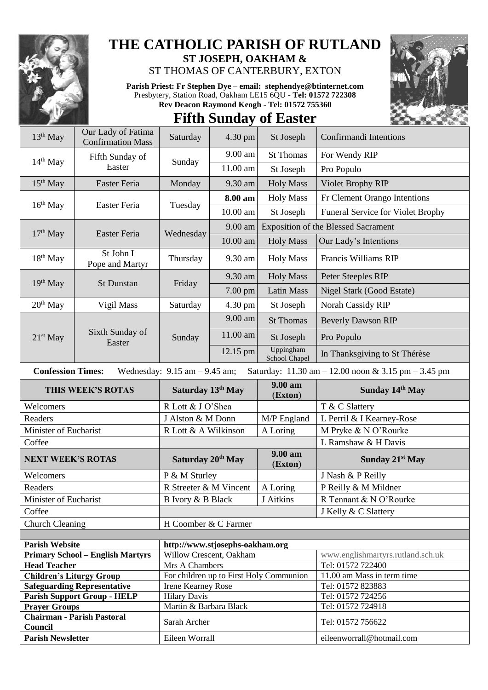

**Chairman - Parish Pastoral** 

 $1$  ody of Fatima

## **THE CATHOLIC PARISH OF RUTLAND ST JOSEPH, OAKHAM &**

ST THOMAS OF CANTERBURY, EXTON

**Parish Priest: Fr Stephen Dye** – **[email: stephendye@btinternet.com](mailto:email:%20%20stephendye@btinternet.com)** Presbytery, Station Road, Oakham LE15 6QU - **Tel: 01572 722308 Rev Deacon Raymond Keogh - Tel: 01572 755360**

## **Fifth Sunday of Easter**

| $13th$ May                                                                                                                                             | Oui Lauy of Fatifiia<br><b>Confirmation Mass</b> | Saturday                                      | $4.30$ pm  | St Joseph                               | Confirmandi Intentions                     |  |  |
|--------------------------------------------------------------------------------------------------------------------------------------------------------|--------------------------------------------------|-----------------------------------------------|------------|-----------------------------------------|--------------------------------------------|--|--|
| $14th$ May                                                                                                                                             | Fifth Sunday of<br>Easter                        | Sunday                                        | 9.00 am    | <b>St Thomas</b>                        | For Wendy RIP                              |  |  |
|                                                                                                                                                        |                                                  |                                               | 11.00 am   | St Joseph                               | Pro Populo                                 |  |  |
| $15th$ May                                                                                                                                             | Easter Feria                                     | Monday                                        | 9.30 am    | <b>Holy Mass</b>                        | Violet Brophy RIP                          |  |  |
| $16th$ May                                                                                                                                             | Easter Feria                                     | Tuesday                                       | 8.00 am    | <b>Holy Mass</b>                        | Fr Clement Orango Intentions               |  |  |
|                                                                                                                                                        |                                                  |                                               | 10.00 am   | St Joseph                               | <b>Funeral Service for Violet Brophy</b>   |  |  |
| $17th$ May                                                                                                                                             | Easter Feria                                     | Wednesday                                     | $9.00$ am  |                                         | <b>Exposition of the Blessed Sacrament</b> |  |  |
|                                                                                                                                                        |                                                  |                                               | 10.00 am   | <b>Holy Mass</b>                        | Our Lady's Intentions                      |  |  |
| 18 <sup>th</sup> May                                                                                                                                   | St John I<br>Pope and Martyr                     | Thursday                                      | 9.30 am    | <b>Holy Mass</b>                        | Francis Williams RIP                       |  |  |
|                                                                                                                                                        | St Dunstan                                       | Friday                                        | 9.30 am    | <b>Holy Mass</b>                        | Peter Steeples RIP                         |  |  |
| 19 <sup>th</sup> May                                                                                                                                   |                                                  |                                               | $7.00$ pm  | <b>Latin Mass</b>                       | Nigel Stark (Good Estate)                  |  |  |
| $20th$ May                                                                                                                                             | Vigil Mass                                       | Saturday                                      | 4.30 pm    | St Joseph                               | Norah Cassidy RIP                          |  |  |
|                                                                                                                                                        | Sixth Sunday of<br>Easter                        | Sunday                                        | 9.00 am    | <b>St Thomas</b>                        | <b>Beverly Dawson RIP</b>                  |  |  |
| 21 <sup>st</sup> May                                                                                                                                   |                                                  |                                               | 11.00 am   | St Joseph                               | Pro Populo                                 |  |  |
|                                                                                                                                                        |                                                  |                                               | $12.15$ pm | Uppingham<br>School Chapel              | In Thanksgiving to St Thérèse              |  |  |
| <b>Confession Times:</b><br>Wednesday: $9.15$ am $-9.45$ am;<br>Saturday: $11.30 \text{ am} - 12.00 \text{ noon} \& 3.15 \text{ pm} - 3.45 \text{ pm}$ |                                                  |                                               |            |                                         |                                            |  |  |
|                                                                                                                                                        |                                                  |                                               |            |                                         |                                            |  |  |
|                                                                                                                                                        | THIS WEEK'S ROTAS                                | Saturday 13th May                             |            | 9.00 am<br>(Exton)                      | Sunday 14th May                            |  |  |
| Welcomers                                                                                                                                              |                                                  | R Lott & J O'Shea                             |            |                                         | T & C Slattery                             |  |  |
| Readers                                                                                                                                                |                                                  | J Alston & M Donn                             |            | M/P England                             | L Perril & I Kearney-Rose                  |  |  |
| Minister of Eucharist                                                                                                                                  |                                                  | R Lott & A Wilkinson                          |            | A Loring                                | M Pryke & N O'Rourke                       |  |  |
| Coffee                                                                                                                                                 |                                                  |                                               |            |                                         | L Ramshaw & H Davis                        |  |  |
| <b>NEXT WEEK'S ROTAS</b>                                                                                                                               |                                                  | Saturday 20 <sup>th</sup> May                 |            | 9.00 am<br>(Exton)                      | Sunday 21 <sup>st</sup> May                |  |  |
| Welcomers                                                                                                                                              |                                                  | P & M Sturley                                 |            |                                         | J Nash & P Reilly                          |  |  |
| Readers                                                                                                                                                |                                                  | R Streeter & M Vincent                        |            | A Loring                                | P Reilly & M Mildner                       |  |  |
| Minister of Eucharist                                                                                                                                  |                                                  | B Ivory & B Black                             |            | J Aitkins                               | R Tennant & N O'Rourke                     |  |  |
| Coffee                                                                                                                                                 |                                                  |                                               |            |                                         | J Kelly & C Slattery                       |  |  |
| <b>Church Cleaning</b>                                                                                                                                 |                                                  | H Coomber & C Farmer                          |            |                                         |                                            |  |  |
|                                                                                                                                                        |                                                  |                                               |            |                                         |                                            |  |  |
| <b>Parish Website</b>                                                                                                                                  |                                                  | http://www.stjosephs-oakham.org               |            |                                         |                                            |  |  |
|                                                                                                                                                        | <b>Primary School - English Martyrs</b>          | Willow Crescent, Oakham                       |            |                                         | www.englishmartyrs.rutland.sch.uk          |  |  |
| <b>Head Teacher</b>                                                                                                                                    |                                                  | Mrs A Chambers                                |            |                                         | Tel: 01572 722400                          |  |  |
| <b>Children's Liturgy Group</b>                                                                                                                        |                                                  |                                               |            | For children up to First Holy Communion | 11.00 am Mass in term time                 |  |  |
|                                                                                                                                                        | <b>Safeguarding Representative</b>               | <b>Irene Kearney Rose</b>                     |            |                                         | Tel: 01572 823883                          |  |  |
| <b>Prayer Groups</b>                                                                                                                                   | <b>Parish Support Group - HELP</b>               | <b>Hilary Davis</b><br>Martin & Barbara Black |            |                                         | Tel: 01572 724256<br>Tel: 01572 724918     |  |  |

**Chairman - Parish Pastoral** Sarah Archer **Tel: 01572 756622** 

**Parish Newsletter** Eileen Worrall Eileen Worrall [eileenworrall@hotmail.com](mailto:eileenworrall@hotmail.com)